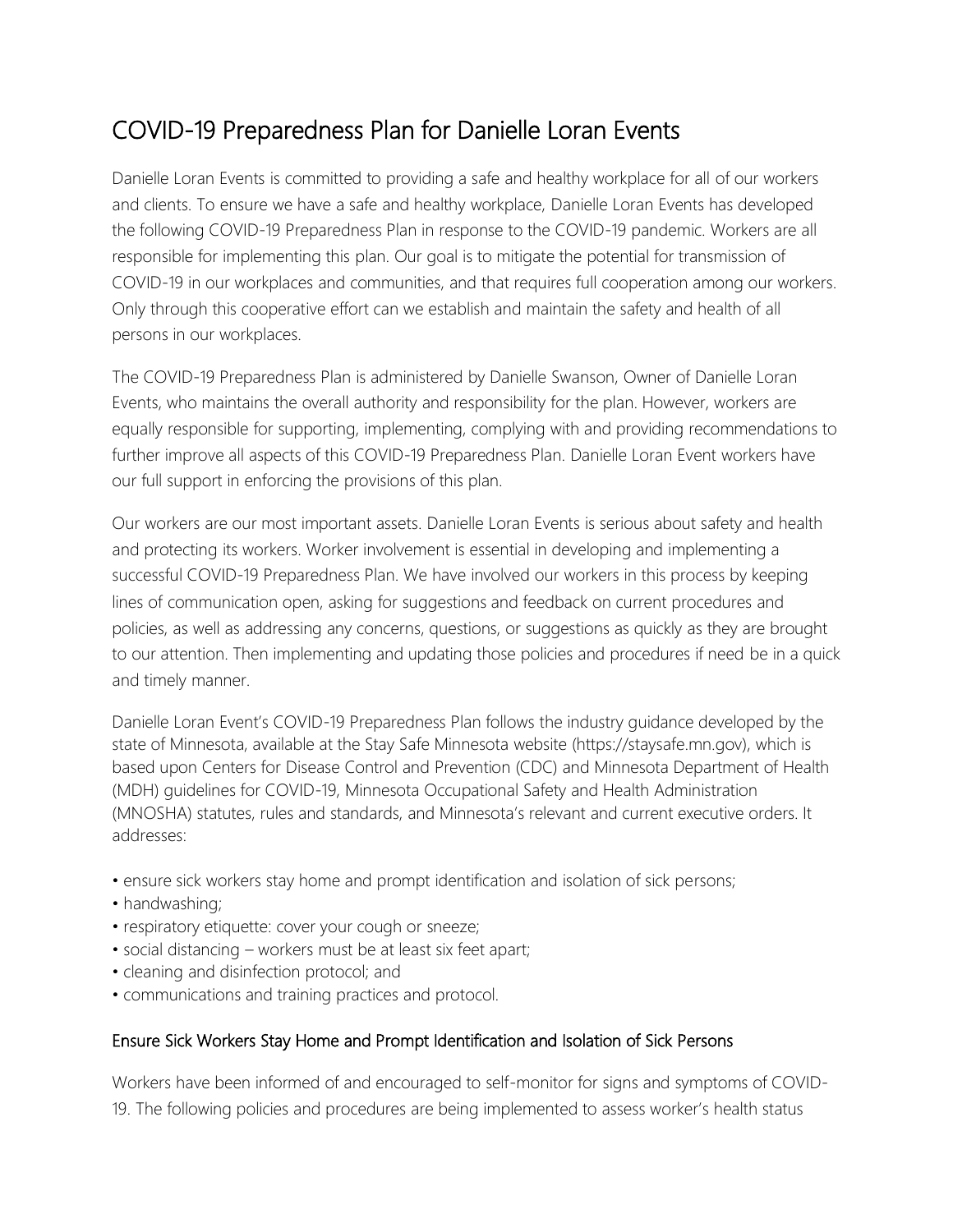# COVID-19 Preparedness Plan for Danielle Loran Events

Danielle Loran Events is committed to providing a safe and healthy workplace for all of our workers and clients. To ensure we have a safe and healthy workplace, Danielle Loran Events has developed the following COVID-19 Preparedness Plan in response to the COVID-19 pandemic. Workers are all responsible for implementing this plan. Our goal is to mitigate the potential for transmission of COVID-19 in our workplaces and communities, and that requires full cooperation among our workers. Only through this cooperative effort can we establish and maintain the safety and health of all persons in our workplaces.

The COVID-19 Preparedness Plan is administered by Danielle Swanson, Owner of Danielle Loran Events, who maintains the overall authority and responsibility for the plan. However, workers are equally responsible for supporting, implementing, complying with and providing recommendations to further improve all aspects of this COVID-19 Preparedness Plan. Danielle Loran Event workers have our full support in enforcing the provisions of this plan.

Our workers are our most important assets. Danielle Loran Events is serious about safety and health and protecting its workers. Worker involvement is essential in developing and implementing a successful COVID-19 Preparedness Plan. We have involved our workers in this process by keeping lines of communication open, asking for suggestions and feedback on current procedures and policies, as well as addressing any concerns, questions, or suggestions as quickly as they are brought to our attention. Then implementing and updating those policies and procedures if need be in a quick and timely manner.

Danielle Loran Event's COVID-19 Preparedness Plan follows the industry guidance developed by the state of Minnesota, available at the Stay Safe Minnesota website (https://staysafe.mn.gov), which is based upon Centers for Disease Control and Prevention (CDC) and Minnesota Department of Health (MDH) guidelines for COVID-19, Minnesota Occupational Safety and Health Administration (MNOSHA) statutes, rules and standards, and Minnesota's relevant and current executive orders. It addresses:

- ensure sick workers stay home and prompt identification and isolation of sick persons;
- handwashing;
- respiratory etiquette: cover your cough or sneeze;
- social distancing workers must be at least six feet apart;
- cleaning and disinfection protocol; and
- communications and training practices and protocol.

#### Ensure Sick Workers Stay Home and Prompt Identification and Isolation of Sick Persons

Workers have been informed of and encouraged to self-monitor for signs and symptoms of COVID-19. The following policies and procedures are being implemented to assess worker's health status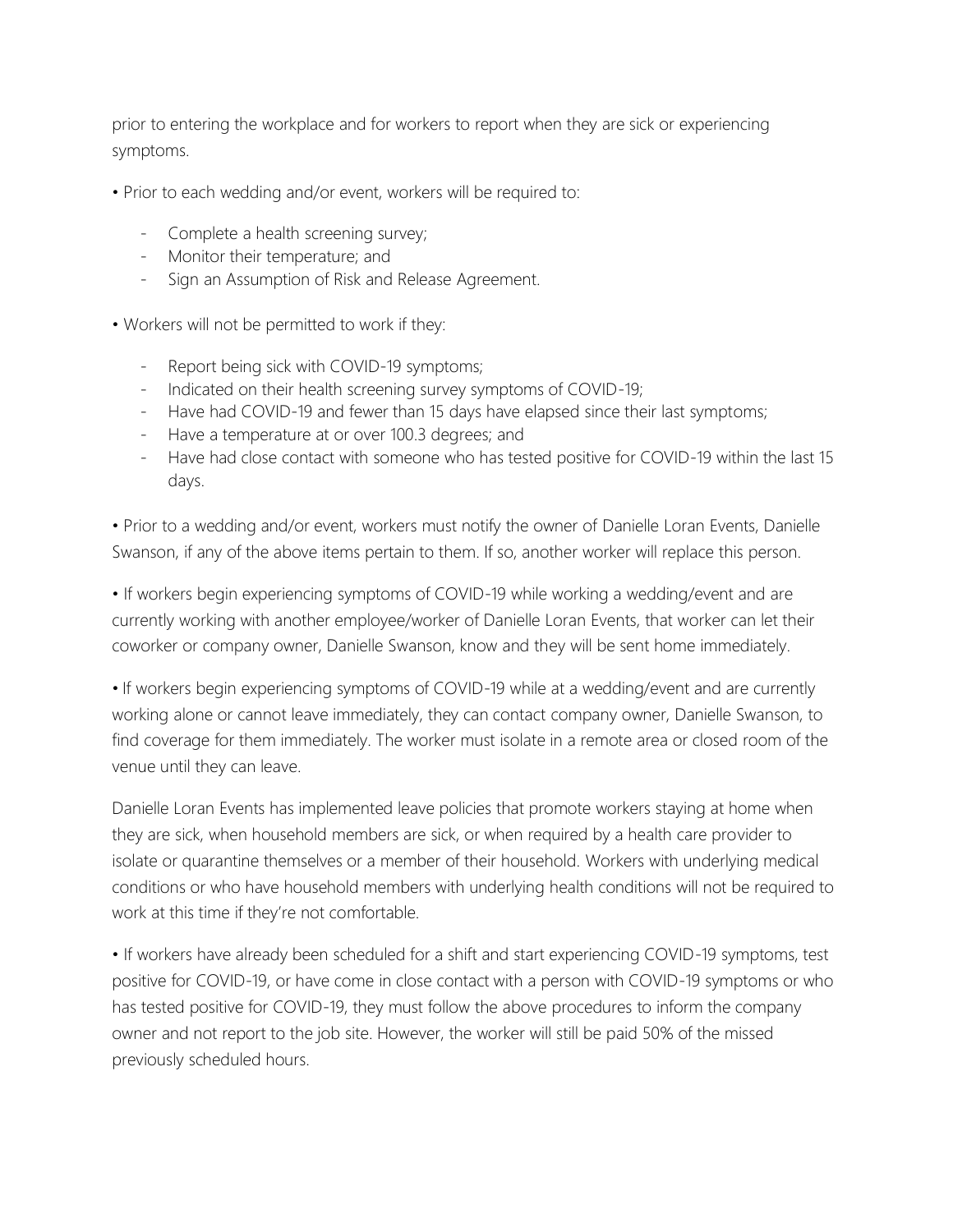prior to entering the workplace and for workers to report when they are sick or experiencing symptoms.

- Prior to each wedding and/or event, workers will be required to:
	- Complete a health screening survey;
	- Monitor their temperature; and
	- Sign an Assumption of Risk and Release Agreement.
- Workers will not be permitted to work if they:
	- Report being sick with COVID-19 symptoms;
	- Indicated on their health screening survey symptoms of COVID-19;
	- Have had COVID-19 and fewer than 15 days have elapsed since their last symptoms;
	- Have a temperature at or over 100.3 degrees; and
	- Have had close contact with someone who has tested positive for COVID-19 within the last 15 days.

• Prior to a wedding and/or event, workers must notify the owner of Danielle Loran Events, Danielle Swanson, if any of the above items pertain to them. If so, another worker will replace this person.

• If workers begin experiencing symptoms of COVID-19 while working a wedding/event and are currently working with another employee/worker of Danielle Loran Events, that worker can let their coworker or company owner, Danielle Swanson, know and they will be sent home immediately.

• If workers begin experiencing symptoms of COVID-19 while at a wedding/event and are currently working alone or cannot leave immediately, they can contact company owner, Danielle Swanson, to find coverage for them immediately. The worker must isolate in a remote area or closed room of the venue until they can leave.

Danielle Loran Events has implemented leave policies that promote workers staying at home when they are sick, when household members are sick, or when required by a health care provider to isolate or quarantine themselves or a member of their household. Workers with underlying medical conditions or who have household members with underlying health conditions will not be required to work at this time if they're not comfortable.

• If workers have already been scheduled for a shift and start experiencing COVID-19 symptoms, test positive for COVID-19, or have come in close contact with a person with COVID-19 symptoms or who has tested positive for COVID-19, they must follow the above procedures to inform the company owner and not report to the job site. However, the worker will still be paid 50% of the missed previously scheduled hours.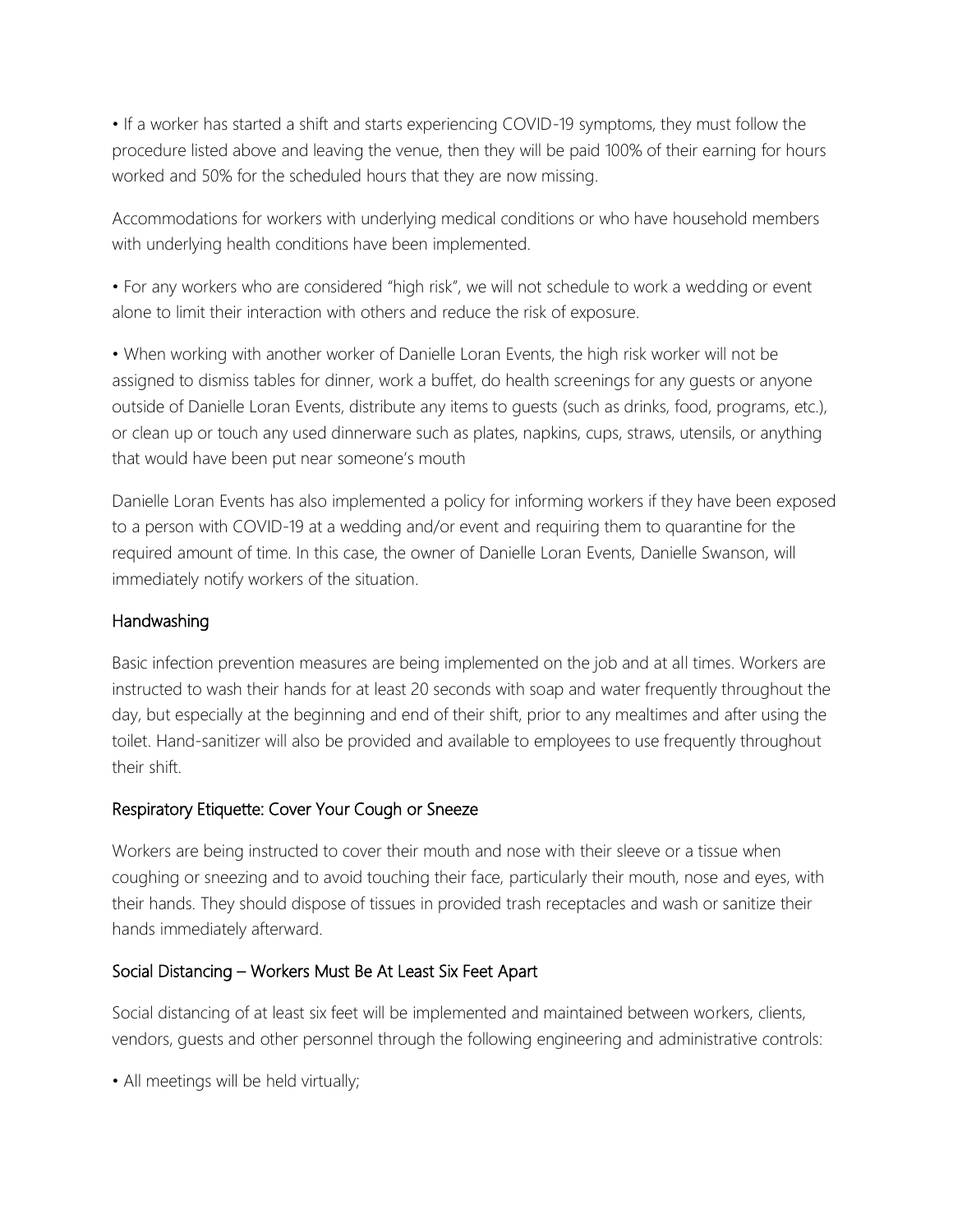• If a worker has started a shift and starts experiencing COVID-19 symptoms, they must follow the procedure listed above and leaving the venue, then they will be paid 100% of their earning for hours worked and 50% for the scheduled hours that they are now missing.

Accommodations for workers with underlying medical conditions or who have household members with underlying health conditions have been implemented.

• For any workers who are considered "high risk", we will not schedule to work a wedding or event alone to limit their interaction with others and reduce the risk of exposure.

• When working with another worker of Danielle Loran Events, the high risk worker will not be assigned to dismiss tables for dinner, work a buffet, do health screenings for any guests or anyone outside of Danielle Loran Events, distribute any items to guests (such as drinks, food, programs, etc.), or clean up or touch any used dinnerware such as plates, napkins, cups, straws, utensils, or anything that would have been put near someone's mouth

Danielle Loran Events has also implemented a policy for informing workers if they have been exposed to a person with COVID-19 at a wedding and/or event and requiring them to quarantine for the required amount of time. In this case, the owner of Danielle Loran Events, Danielle Swanson, will immediately notify workers of the situation.

## Handwashing

Basic infection prevention measures are being implemented on the job and at all times. Workers are instructed to wash their hands for at least 20 seconds with soap and water frequently throughout the day, but especially at the beginning and end of their shift, prior to any mealtimes and after using the toilet. Hand-sanitizer will also be provided and available to employees to use frequently throughout their shift.

## Respiratory Etiquette: Cover Your Cough or Sneeze

Workers are being instructed to cover their mouth and nose with their sleeve or a tissue when coughing or sneezing and to avoid touching their face, particularly their mouth, nose and eyes, with their hands. They should dispose of tissues in provided trash receptacles and wash or sanitize their hands immediately afterward.

## Social Distancing – Workers Must Be At Least Six Feet Apart

Social distancing of at least six feet will be implemented and maintained between workers, clients, vendors, guests and other personnel through the following engineering and administrative controls:

• All meetings will be held virtually;